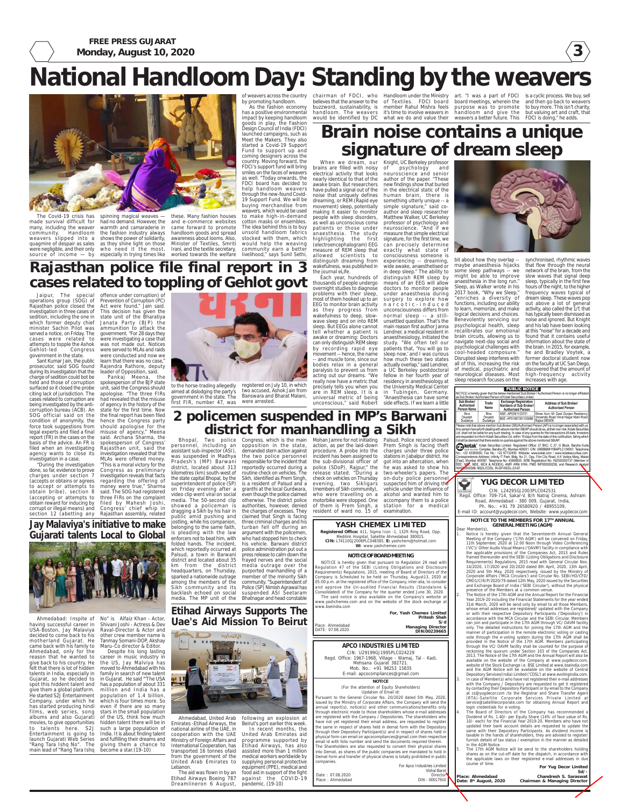**3**

**FREE PRESS GUJARAT Monday, August 10, 2020**

### **APCO INDUSTRIES LIMITED**

CIN: U29199GJ1995PLC024229 Regd. Office: 1967-1968, Village - Wamaj, Tal - Kadi, Mehsana Gujarat 382721. Mob. No.: +91 98253 15835 E-mail: apcocompliances@gmail.com

#### **NOTICE**

(For the attention of Equity Shareholders) Updation of Email id:

Pursuant to the General Circular No. 20/2020 dated 5th May, 2020, issued by the Ministry of Corporate Affairs, the Company will send the annual report(s), notice(s) and other communications/benefits only through electronic mode to those shareholders whose e-mail addresses are registered with the Company / Depositories. The shareholders who have not yet registered their email address, are requested to register the same in respect of shares held in demat form with the Depository through their Depository Participant(s) and in respect of shares held in physical form can email on apcocompliances@gmail.com their respective email id with folio number and send the documents required therein. The Shareholders are also requested to convert their physical shares into Demat, as shares of the public companies are mandated to hold in Demat form and transfer of physical shares is totally prohibited in public companies.

For Apco Industries Limited

Vishal Barot Directo DIN - 00017910

Date : 07.08.2020 Place : Ahmedabad



**For Yug Decor Limited Sd/-**

**Chandresh S. Saraswat Chairman & Managing Director**

**Place: Ahmedabad Date: 8th August, 2020**

### **NOTICE TO THE MEMBERS FOR 17TH ANNUAL GENERAL MEETING (AGM)** Dear Member(s),

**Notice is hereby given that the Seventeenth Annual General** Meeting of the Company ('17th AGM') will be convened on Friday, 11th September, 2020 at 12:00 Noon through Video Conferencing ('VC')/ Other Audio Visual Means ('OAVM') facility in compliance with the applicable provisions of the Companies Act, 2013 and Rules framed thereunder and the SEBI (Listing Obligations and Disclosure Requirements) Regulations, 2015 read with General Circular Nos. 14/2020, 17/2020 and 20/2020 dated 8th April, 2020, 13th April, 2020 and 5th May, 2020 respectively, issued by the Ministry of Corporate Affairs ('MCA Circulars') and Circular No. SEBI/HO/CFD/ CMD1/CIR/P/2020/79 dated 12th May, 2020 issued by the Securities and Exchange Board of India ('SEBI Circular'), without the physical presence of the Members at a common venue.

The Board of Directors of the Company has recommended a Dividend of Rs. 1.40/- per Equity Share (14% of face value of Rs. 10/- each) for the Financial Year 2019-20. Members who have not updated their bank account details are requested to update the same with their Depository Participants. As dividend income is taxable in the hands of shareholders, they are advised to register/ furnish details of tax status / exemption in the manner as detailed in the AGM Notice.

The 17th AGM Notice will be send to the shareholders holding shares as on the cut-off date for the dispatch, in accordance with the applicable laws on their registered e-mail addresses in due course of time.

The aid was flown in by an Etihad Airways Boeing 787 Dreamlineron 6 August, food aid in support of the fight against the COVID-19 pandemic. (19-10)

2. The Notice of the 17th AGM and the Annual Report for the Financial Year 2019-20 including the Financial Statements for the year endec 31st March, 2020 will be send only by email to all those Members, whose email addresses are registered/ updated with the Company or with their respective Depository Participants ('Depository') in accordance with the MCA Circular and the SEBI Circular. Members can join and participate in the 17th AGM through VC/ OAVM facility only. The detailed instructions for joining the 17th AGM and the manner of participation in the remote electronic voting or casting vote through the e-voting system during the 17th AGM shall be provided in the Notice of the 17th AGM. Members participating through the VC/ OAVM facility shall be counted for the purpose of reckoning the quorum under Section 103 of the Companies Act, 2013. The Notice of the 17th AGM and the Annual Report will also be available on the website of the Company at www.yugdecor.com, website of the Stock Exchange i.e. BSE Limited at www.bseindia.com and the AGM Notice will be available on the website of Centra Depository Services(India) Limited ('CDSL') at www.evotingindia.com. In case of Member(s) who have not registered their e-mail addresses with the Company / Depository are requested to get it registered by contacting their Depository Participant or by email to the Company at cs@yugdecor.com /to the Registrar and Share Transfer Agent (RTA)-Satellite Corporate Services Private Limited at service@satellitecorporate.com for obtaining Annual Report and login credentials for e-voting.

**Jay Malaviya's initiative to make Gujarati talents Local to Global**



Ahmedabad: Inspite of No" is Alfaiz Khan - Actor, Tanmay Somani-DOP, Akshay Despite his long lasting

having successful career in Shivani Joshi - Actress & Dev USA-Boston, Jay Malaviya Raval-Director & Actor and decided to come back to his other crew member name is motherland Gujarat. He came back with his family to Maru-Co director & Editor. Ahmedabad, only for the reason that he wanted to career in music industry in give back to his country. He the US, Jay Malviya has felt that there is lot of hidden give them a global platform. films, web series, song albums and also Gujarati to talents here. S2J "Rang Tara Ishq No". The giving them a chance to main lead of "Rang Tara Ishq become a star.(19-10)

talents in India, especially in family in search of new talent Gujarat, so he decided to in Gujarat. He said "'The USA spot this hiddent talent and has a population of about 331 He started S2J Entertainment population of 1.4 billion, Company, under which he which is four times more. So has started producing hindi even if there are so many movies, to give opportunities hidden talent there will be in Entertainment is going to India. It is about finding talent launch Gujarati Web Series and fulfilling their dreams and moved to Ahmedabad with his million and India has a stars in the small population of the US, think how much such a large population of

unconscious," said Robert side effects. If we learn a little wide awake, anaesthetised or in deep sleep." The ability to distinguish REM sleep by means of an EEG will allow doctors to monitor people under anaesthesia during surgery to explore how narcotic-induced unconsciousness differs from normal sleep -- a stillunsettled question. That's the main reason first author Janna Lendner, a medical resident in anaesthesiology, initiated the study. "We often tell our patients that, 'You will go to sleep now,' and I was curious how much these two states actually overlap," said Lendner, a UC Berkeley postdoctoral fellow in her fourth year of residency in anesthesiology at the University Medical Center in Tubingen, Germany. "Anaesthesia can have some



**Etihad Airways Supports The Uae's Aid Mission To Beirut**



Ahmedabad, United Arab Emirates -Etihad Airways, the national airline of the UAE, in cooperation with the UAE Ministry of Foreign Affairs and International Cooperation, has transported 16 tonnes ofaid assisted more than 1 million from the government of the medical workers worldwide by United Arab Emirates to Lebanon.

following an explosion at Beirut's port earlier this week. In recent months, the United Arab Emirates aid programme supported by Etihad Airways, has also

supplying personal protective equipment (PPE), medical and

Jaipur, The special offence under corruption) of operations group (SOG) of Prevention of Corruption (PC) Rajasthan police closed the Act were found," Jain said. investigation in three cases of This decision has given the sedition, including the one in state unit of the Bharatiya which former deputy chief Janata Party (BJP) the minister Sachin Pilot was ammunition to attack the served a notice, on Friday. The government. "For 28 days they cases were related to were investigating a case that attempts to topple the Ashok was not made out. Notices Gehlot-led government in the state. Congress were served to MLAs and raids

# **National Handloom Day: Standing by the weavers**



made survival difficult for were negligible, and their only

many, including the weaver warmth and camaraderie in community. Handloom the fashion industry always weavers slipped into a shows the power of solidarity, quagmire of despair as sales as they shine light on those source of income — by especially in trying times like worked towards the welfare livelihood," says Sunil Sethi, had no demand. However, the who need it the most,

The Covid-19 crisis has spinning magical weaves — these. Many fashion houses and e-commerce websites came forward to promote handloom goods and spread awareness about looms. Also, Minister of Textiles, Smriti Irani, and the textile secretary,

by promoting handloom.

As the fashion economy has a positive environmental impact by keeping handloom goods in play, the Fashion Design Council of India (FDCI) launched campaigns, such as Meet the Makers. They also started a Covid-19 Support Fund to support up and coming designers across the country. Moving forward, the FDCI's support fund will bring smiles on the faces of weavers as well. "Today onwards, the FDCI board has decided to help handloom weavers through the new-found Covid-19 Support Fund. We will be buying merchandise from weavers, which would be used to make high-in-demand cotton masks or ensembles. The idea behind this is to buy unsold handloom fabrics stocked with them, which would help the weaving community earn a better

of weavers across the country chairman of FDCI, who Handloom under the Ministry art. "I was a part of FDCI believes that the answer to the of Textiles. FDCI board board meetings, wherein the and then go back to weavers buzzword, sustainability, is member Rahul Mishra feels handloom. The weavers it's time to involve weavers in handloom and give the but valuing art and craft, that

would be identified by DC what we do and value their weavers a better future. This FDCI is doing," he adds.

registered on July 10, in which two accused, Ashok Jain from Banswara and Bharat Malani, were arrested

purpose was to promote to buy more. This isn't charity, is a cyclic process. We buy, sell

## **Brain noise contains a unique signature of dream sleep**

Bhopal, Two police Congress, which is the main Mohan Jamre for not initiating Palsud. Police record showed personnel, including an opposition in the state, action, as per the laid-down Prem Singh is facing theft assistant sub-inspector (ASI), demanded stern action against was suspended in Madhya the two police personnel incident has been assigned to stations in Jabalpur district. He Pradesh's (MP) Barwani responsible for the incident that the sub-divisional officer of got into an altercation, when district, located about 313 kilometres (km) south-west of the state capital Bhopal, by the superintendent of police (SP) on Friday evening after a video clip went viral on social media. The 50-second clip otherwise. The district police showed a policeman is dragging a Sikh by his hair in public amid pushing and claimed that Singh is facing jostling, while his companion, belonging to the same faith, is pleading with the law argument with the policemen, enforcers not to beat him, with folded hands. The incident, his vehicle. Barwani district which reportedly occurred at Palsud, a town in Barwani district and located about 35 km from the district media outrage over the headquarters, on Thursday, sparked a nationwide outrage among the members of the community. "Superintendent of Sikh community and its Police (SP) Nimish Agrawal has backlash echoed on social suspended ASI Seetaram media. The MP unit of the Bhatnagar and head constable

When we dream, our brains are filled with noisy electrical activity that looks neuroscience and senior nearly identical to that of the awake brain. But researchers have pulled a signal out of the noise that uniquely defines dreaming, or REM (Rapid eye movement) sleep, potentially making it easier to monitor people with sleep disorders, as well as unconscious coma patients or those under anaesthesia. The study highlighting the first (electroencephalogram) EEG measure of REM sleep that allowed scientists to distinguish dreaming from wakefulness, was published in the journal eLife. Each year, hundreds of

thousands of people undergo overnight studies to diagnose problems with their sleep, most of them hooked up to an EEG to monitor brain activity as they progress from wakefulness to deep, slowwave sleep and on into REM sleep. But EEGs alone cannot tell whether a patient is awake or dreaming: Doctors can only distinguish REM sleep by recording rapid eye movement -- hence, the name -- and muscle tone, since our bodies relax in a general paralysis to prevent us from acting out our dreams. "We really now have a metric that precisely tells you when you are in REM sleep. It is a universal metric of being

Knight, UC Berkeley professor of psychology and author of the paper. "These new findings show that buried in the electrical static of the human brain, there is something utterly unique -- a simple signature," said coauthor and sleep researcher Matthew Walker, UC Berkeley professor of psychology and neuroscience. "And if we measure that simple electrical signature, for the first time, we can precisely determine exactly what state of consciousness someone is experiencing -- dreaming,

bit about how they overlap - maybe anaesthesia hijacks some sleep pathways -- we might be able to improve anaesthesia in the long run." Sleep, as Walker wrote in his 2017 book, "Why we Sleep," "enriches a diversity of functions, including our ability to learn, memorize, and make logical decisions and choices. Benevolently servicing our psychological health, sleep recalibrates our emotional brain circuits, allowing us to navigate next-day social and psychological challenges with cool-headed composure." Disrupted sleep interferes with all of this, increasing the risk of medical, psychiatric and neurological diseases. Most sleep research focuses on the increases with age.

synchronised, rhythmic waves that flow through the neural network of the brain, from the slow waves that signal deep sleep, typically in the first few hours of the night, to the higher frequency waves typical of dream sleep. These waves pop out above a lot of general activity, also called the 1/f, that has typically been dismissed as noise and ignored. But Knight and his lab have been looking at this "noise" for a decade and found that it contains useful information about the state of the brain. In 2015, for example, he and Bradley Voytek, a former doctoral student now on the faculty at UC San Diego, discovered that the amount of high-frequency activity

#### **PUBLIC NOTICE** NOTICE is hereby given that the below mentioned Sub Broke<br>as Sub Broker / Authorised Person of Kotak Securities Limited ed Person is no longer affiliate Sub Broker/<br>Authorised **Exchange Registration**<br>Numbers of Sub Broker/ Trade Address of Sub Broker/ Name **Authorised Person** Authorised Person Person Name Shree Aum 55 Geet Gunjan Residency<br>University Road Vimal Nagar Main Road<br>Rajkot 360005 Rina NSE-AP0291103721 Divyesh<br>Dudakiya Divyesh<br>Dudakiva BSE-AP01067301103086

lease note that above mention Sub Broker (SB)/Authorised Person (AP) is no longer associated with us The person henceforth dealing with above mention SB/AP should do so, at their own risk. Kotak Securities<br>Ltd. shall not be liable for any such dealing. In case of any queries for the transactions till date, Investor<br>are re shall be deemed that there exists no queries against the above mentioned SB/AP.

it shall be deemed that there exists no queries against the above mentioned SB/AP.<br>The contract of total Securities Limited. Registered Office: 27 BKC, C 27, G Block, Bandra Kurla<br>Mundai 400051. Telephone (E). Mumbai 40005 Katak seguites Complex, Bandra (E), Mumbai 400051. CIN: U99999MH1994PLC134051, Telephone<br>No.: +22 43360000, Fax No.: +22 67132430. Website: www.kotak.com / www.kotaksecurities.com Correspondence Address: Infinity IT Park, Bldg. No 21, Opp. Film City Road, A K Vaidya Marg, Malad<br>(East), Mumbai 400097. Telephone No: 42856825. SEBI Registration No: INZ000200137 (Member of<br>BSE, NSC, MSE, MCX & NCDEX), A

### **YASH CHEMEX LIMITED**

### **NOTICE OF BOARD MEETING**

**S/d**

**For, Yash Chemex Limited Pritesh Shah Managing Director DIN:00239665** Place: Ahmedabad DATE: 07.08.2020

**Registered Office:** 411, Sigma Icon -1, 132ft Ring Road, Opp. Medilink Hospital, Satellite Ahmedabad 380015. **CIN:** L74110GJ2006PLC048385, **E:** yashchem@hotmail.com **W:** www.yashchemex.com

NOTICE is hereby given that pursuant to Regulation 29 read with Regulation 47 of the SEBI (Listing Obligations and Disclosure Requirements) Regulations, 2015, meeting of Board of Directors of the Company is Scheduled to be held on Thursday, August13, 2020 at 05:00 p.m. at the registered office of the Company, inter-alia, to consider and approve the Un-audited Financial Results (Standalone & Consolidated) of the Company for the quarter ended June 30, 2020. The said notice is also available on the Company's website at www.yashchemex.com and on the website of the stock exchange at www.bseindia.com

## **Rajasthan police file final report in 3 cases related to toppling of Gehlot govt**

Sant Kumar Jain, the public prosecutor, said SOG found during its investigation that the charge of sedition could bot be held and those of corruption surfaced so it closed the probe citing lack of jurisdiction. The cases related to corruption are being investigated by the anticorruption bureau (ACB). An SOG official said on the condition of anonymity, the force took suggestions from legal experts and filed a final report (FR) in the cases on the basis of the advice. An FR is filed when an investigating agency wants to close its investigation revealed that the investigation in a case.

"During the investigation MLAs were offered money. "This is a moral victory for the

were conducted and now we learn that there was no case," Rajendra Rathore, deputy leader of Opposition, said.

done, so far, evidence to prove Congress as preliminary charges under section 7 investigation reveals that facts (accepts or obtains or agrees regarding the offering of to accept or attempts to money were true," Sharma obtain bribe), section 8 said. The SOG had registered (accepting or attempts to three FIRs on the complaint obtain reward for inducing by filed by Mahesh Joshi, corrupt or illegal means) and Congress' chief whip in section 12 (abetting any Rajasthan assembly, related

Rajasthan unit, said the

Pankaj Meena, the spokesperson of the BJP state unit, said the Congress should apologise. "The three FIRs had revealed that the misuse of agency in the history of the state for the first time. Now the final report has been filed hence the Congress party should apologise for the misuse of agency," Meena said. Archana Sharma, the spokesperson of Congress' to the horse-trading allegedly aimed at dislodging the party's government in the state. The first FIR, number 47, was **2 policemen suspended in MP's Barwani district for manhandling a Sikh**

reportedly occurred during a police (SDoP), Rajpur," the routine check on vehicles. The Sikh, identified as Prem Singh, is a resident of Palsud and a granthi at the local Gurdwara, even though the police claimed authorities, however, denied the charges of excesses. They three criminal charges and his turban fell off during an who had stopped him to check police administration put out a press release to calm down the frayed nerves and the social purported manhandling of a member of the minority Sikh

procedure. A probe into the

release stated. "During a two-wheeler's papers. The check on vehicles on Thursday evening, two Sikligars (members of Sikh community), who were travelling on a motorbike were stopped. One of them is Prem Singh, a resident of ward no. 15 of on-duty police personnel suspected him of driving the vehicle under the influence of alcohol and wanted him to accompany them to a police station for a medical examination.

charges under three police he was asked to show his